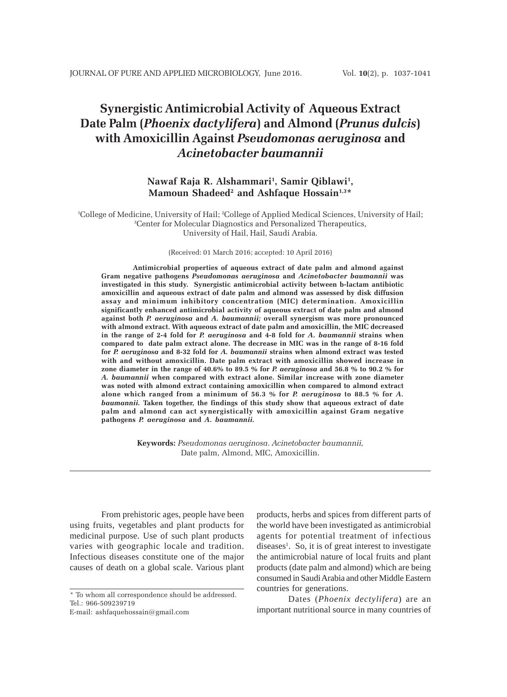# **Synergistic Antimicrobial Activity of Aqueous Extract Date Palm (***Phoenix dactylifera***) and Almond (***Prunus dulcis***) with Amoxicillin Against** *Pseudomonas aeruginosa* **and** *Acinetobacter baumannii*

## **Nawaf Raja R. Alshammari1 , Samir Qiblawi1 , Mamoun Shadeed2 and Ashfaque Hossain1,3\***

1 College of Medicine, University of Hail; 2 College of Applied Medical Sciences, University of Hail; 3 Center for Molecular Diagnostics and Personalized Therapeutics, University of Hail, Hail, Saudi Arabia.

(Received: 01 March 2016; accepted: 10 April 2016)

**Antimicrobial properties of aqueous extract of date palm and almond against Gram negative pathogens** *Pseudomonas aeruginosa* **and** *Acinetobacter baumannii* **was investigated in this study. Synergistic antimicrobial activity between b-lactam antibiotic amoxicillin and aqueous extract of date palm and almond was assessed by disk diffusion assay and minimum inhibitory concentration (MIC) determination. Amoxicillin significantly enhanced antimicrobial activity of aqueous extract of date palm and almond against both** *P. aeruginosa* **and** *A. baumannii;* **overall synergism was more pronounced with almond extract. With aqueous extract of date palm and amoxicillin, the MIC decreased in the range of 2-4 fold for** *P. aeruginosa* **and 4-8 fold for** *A. baumannii* **strains when compared to date palm extract alone. The decrease in MIC was in the range of 8-16 fold for** *P. aeruginosa* **and 8-32 fold for** *A. baumannii* **strains when almond extract was tested with and without amoxicillin. Date palm extract with amoxicillin showed increase in zone diameter in the range of 40.6% to 89.5 % for** *P. aeruginosa* **and 56.8 % to 90.2 % for** *A. baumannii* **when compared with extract alone. Similar increase with zone diameter was noted with almond extract containing amoxicillin when compared to almond extract alone which ranged from a minimum of 56.3 % for** *P. aeruginosa* **to 88.5 % for** *A. baumannii.* **Taken together, the findings of this study show that aqueous extract of date palm and almond can act synergistically with amoxicillin against Gram negative pathogens** *P. aeruginosa* **and** *A. baumannii.*

> **Keywords:** *Pseudomonas aeruginosa*. *Acinetobacter baumannii,* Date palm, Almond, MIC, Amoxicillin.

From prehistoric ages, people have been using fruits, vegetables and plant products for medicinal purpose. Use of such plant products varies with geographic locale and tradition. Infectious diseases constitute one of the major causes of death on a global scale. Various plant

products, herbs and spices from different parts of the world have been investigated as antimicrobial agents for potential treatment of infectious diseases<sup>1</sup>. So, it is of great interest to investigate the antimicrobial nature of local fruits and plant products (date palm and almond) which are being consumed in Saudi Arabia and other Middle Eastern countries for generations.

Dates (*Phoenix dectylifera*) are an important nutritional source in many countries of

<sup>\*</sup> To whom all correspondence should be addressed. Tel.: 966-509239719

E-mail: ashfaquehossain@gmail.com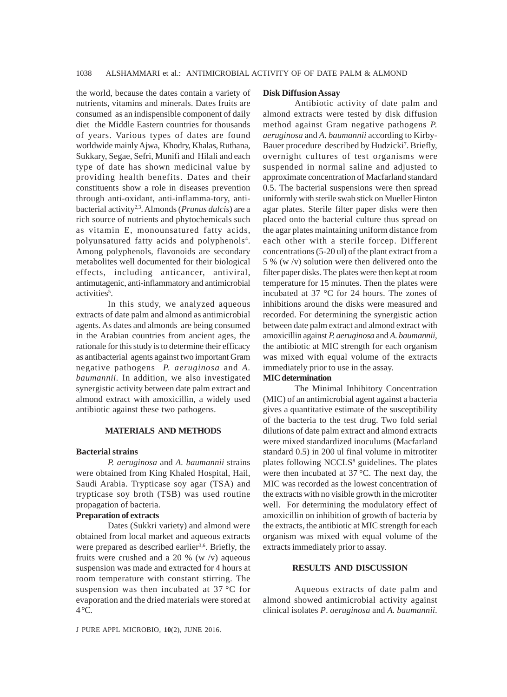the world, because the dates contain a variety of nutrients, vitamins and minerals. Dates fruits are consumed as an indispensible component of daily diet the Middle Eastern countries for thousands of years. Various types of dates are found worldwide mainly Ajwa, Khodry, Khalas, Ruthana, Sukkary, Segae, Sefri, Munifi and Hilali and each type of date has shown medicinal value by providing health benefits. Dates and their constituents show a role in diseases prevention through anti-oxidant, anti-inflamma-tory, antibacterial activity2,3. Almonds (*Prunus dulcis*) are a rich source of nutrients and phytochemicals such as vitamin E, monounsatured fatty acids, polyunsatured fatty acids and polyphenols<sup>4</sup>. Among polyphenols, flavonoids are secondary metabolites well documented for their biological effects, including anticancer, antiviral, antimutagenic, anti-inflammatory and antimicrobial activities<sup>5</sup>.

In this study, we analyzed aqueous extracts of date palm and almond as antimicrobial agents. As dates and almonds are being consumed in the Arabian countries from ancient ages, the rationale for this study is to determine their efficacy as antibacterial agents against two important Gram negative pathogens *P. aeruginosa* and *A. baumannii.* In addition, we also investigated synergistic activity between date palm extract and almond extract with amoxicillin, a widely used antibiotic against these two pathogens.

## **MATERIALS AND METHODS**

## **Bacterial strains**

*P. aeruginosa* and *A. baumannii* strains were obtained from King Khaled Hospital, Hail, Saudi Arabia. Trypticase soy agar (TSA) and trypticase soy broth (TSB) was used routine propagation of bacteria.

#### **Preparation of extracts**

Dates (Sukkri variety) and almond were obtained from local market and aqueous extracts were prepared as described earlier<sup>3,6</sup>. Briefly, the fruits were crushed and a 20 % (w  $/v$ ) aqueous suspension was made and extracted for 4 hours at room temperature with constant stirring. The suspension was then incubated at 37 °C for evaporation and the dried materials were stored at 4 °C.

#### **Disk Diffusion Assay**

Antibiotic activity of date palm and almond extracts were tested by disk diffusion method against Gram negative pathogens *P. aeruginosa* and *A. baumannii* according to Kirby-Bauer procedure described by Hudzicki<sup>7</sup>. Briefly, overnight cultures of test organisms were suspended in normal saline and adjusted to approximate concentration of Macfarland standard 0.5. The bacterial suspensions were then spread uniformly with sterile swab stick on Mueller Hinton agar plates. Sterile filter paper disks were then placed onto the bacterial culture thus spread on the agar plates maintaining uniform distance from each other with a sterile forcep. Different concentrations (5-20 ul) of the plant extract from a 5 % (w /v) solution were then delivered onto the filter paper disks. The plates were then kept at room temperature for 15 minutes. Then the plates were incubated at 37 °C for 24 hours. The zones of inhibitions around the disks were measured and recorded. For determining the synergistic action between date palm extract and almond extract with amoxicillin against *P. aeruginosa* and *A. baumannii*, the antibiotic at MIC strength for each organism was mixed with equal volume of the extracts immediately prior to use in the assay.

## **MIC determination**

The Minimal Inhibitory Concentration (MIC) of an antimicrobial agent against a bacteria gives a quantitative estimate of the susceptibility of the bacteria to the test drug. Two fold serial dilutions of date palm extract and almond extracts were mixed standardized inoculums (Macfarland standard 0.5) in 200 ul final volume in mitrotiter plates following NCCLS<sup>8</sup> guidelines. The plates were then incubated at 37 °C. The next day, the MIC was recorded as the lowest concentration of the extracts with no visible growth in the microtiter well. For determining the modulatory effect of amoxicillin on inhibition of growth of bacteria by the extracts, the antibiotic at MIC strength for each organism was mixed with equal volume of the extracts immediately prior to assay.

## **RESULTS AND DISCUSSION**

Aqueous extracts of date palm and almond showed antimicrobial activity against clinical isolates *P*. *aeruginosa* and *A. baumannii*.

J PURE APPL MICROBIO*,* **10**(2), JUNE 2016.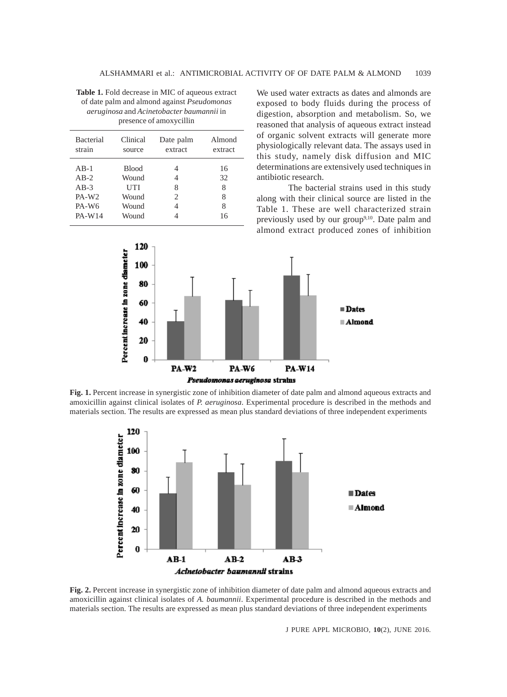**Table 1.** Fold decrease in MIC of aqueous extract of date palm and almond against *Pseudomonas aeruginosa* and *Acinetobacter baumannii* in presence of amoxycillin

| Clinical<br><b>Bacterial</b><br>Date palm<br>strain<br>extract<br>source                                                                                        | Almond<br>extract             |
|-----------------------------------------------------------------------------------------------------------------------------------------------------------------|-------------------------------|
|                                                                                                                                                                 |                               |
| $AB-1$<br><b>Blood</b><br>$AB-2$<br>Wound<br>4<br>$AB-3$<br>UTI<br>8<br>PA-W <sub>2</sub><br>Wound<br>2<br>PA-W <sub>6</sub><br>Wound<br><b>PA-W14</b><br>Wound | 16<br>32<br>8<br>8<br>8<br>16 |

We used water extracts as dates and almonds are exposed to body fluids during the process of digestion, absorption and metabolism. So, we reasoned that analysis of aqueous extract instead of organic solvent extracts will generate more physiologically relevant data. The assays used in this study, namely disk diffusion and MIC determinations are extensively used techniques in antibiotic research.

The bacterial strains used in this study along with their clinical source are listed in the Table 1. These are well characterized strain previously used by our group<sup>9,10</sup>. Date palm and almond extract produced zones of inhibition



**Fig. 1.** Percent increase in synergistic zone of inhibition diameter of date palm and almond aqueous extracts and amoxicillin against clinical isolates of *P. aeruginosa*. Experimental procedure is described in the methods and materials section. The results are expressed as mean plus standard deviations of three independent experiments



**Fig. 2.** Percent increase in synergistic zone of inhibition diameter of date palm and almond aqueous extracts and amoxicillin against clinical isolates of *A. baumannii*. Experimental procedure is described in the methods and materials section. The results are expressed as mean plus standard deviations of three independent experiments

J PURE APPL MICROBIO*,* **10**(2), JUNE 2016.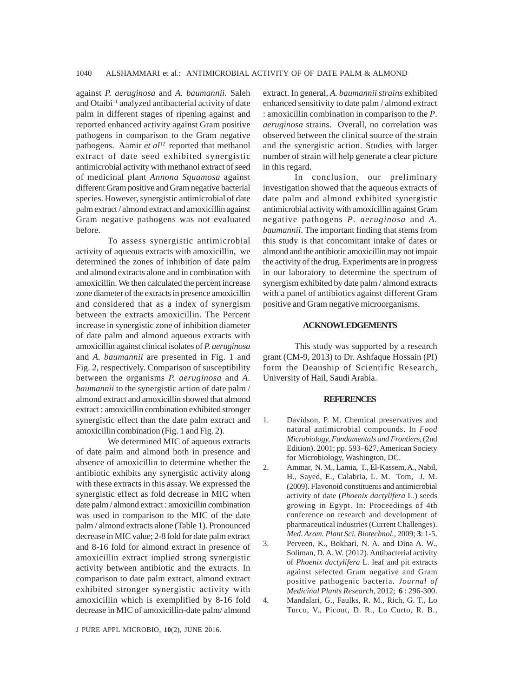against *P. aeruginosa* and *A. baumannii.* Saleh and Otaibi<sup>11</sup> analyzed antibacterial activity of date palm in different stages of ripening against and reported enhanced activity against Gram positive pathogens in comparison to the Gram negative pathogens. Aamir *et al*<sup>12</sup> reported that methanol extract of date seed exhibited synergistic antimicrobial activity with methanol extract of seed of medicinal plant *Annona Squamosa* against different Gram positive and Gram negative bacterial species. However, synergistic antimicrobial of date palm extract / almond extract and amoxicillin against Gram negative pathogens was not evaluated before.

To assess synergistic antimicrobial activity of aqueous extracts with amoxicillin, we determined the zones of inhibition of date palm and almond extracts alone and in combination with amoxicillin. We then calculated the percent increase zone diameter of the extracts in presence amoxicillin and considered that as a index of synergism between the extracts amoxicillin. The Percent increase in synergistic zone of inhibition diameter of date palm and almond aqueous extracts with amoxicillin against clinical isolates of *P. aeruginosa* and *A. baumannii* are presented in Fig. 1 and Fig. 2, respectively. Comparison of susceptibility between the organisms *P. aeruginosa* and *A. baumannii* to the synergistic action of date palm / almond extract and amoxicillin showed that almond extract : amoxicillin combination exhibited stronger synergistic effect than the date palm extract and amoxicillin combination (Fig. 1 and Fig. 2).

We determined MIC of aqueous extracts of date palm and almond both in presence and absence of amoxicillin to determine whether the antibiotic exhibits any synergistic activity along with these extracts in this assay. We expressed the synergistic effect as fold decrease in MIC when date palm / almond extract : amoxicillin combination was used in comparison to the MIC of the date palm / almond extracts alone (Table 1). Pronounced decrease in MIC value; 2-8 fold for date palm extract and 8-16 fold for almond extract in presence of amoxicillin extract implied strong synergistic activity between antibiotic and the extracts. In comparison to date palm extract, almond extract exhibited stronger synergistic activity with amoxicillin which is exemplified by 8-16 fold decrease in MIC of amoxicillin-date palm/ almond

extract. In general, *A. baumannii strains* exhibited enhanced sensitivity to date palm / almond extract : amoxicillin combination in comparison to the *P*. *aeruginosa* strains.Overall, no correlation was observed between the clinical source of the strain and the synergistic action. Studies with larger number of strain will help generate a clear picture in this regard.

In conclusion, our preliminary investigation showed that the aqueous extracts of date palm and almond exhibited synergistic antimicrobial activity with amoxicillin against Gram negative pathogens *P*. *aeruginosa* and *A. baumannii*. The important finding that stems from this study is that concomitant intake of dates or almond and the antibiotic amoxicillin may not impair the activity of the drug. Experiments are in progress in our laboratory to determine the spectrum of synergism exhibited by date palm / almond extracts with a panel of antibiotics against different Gram positive and Gram negative microorganisms.

### **ACKNOWLEDGEMENTS**

This study was supported by a research grant (CM-9, 2013) to Dr. Ashfaque Hossain (PI) form the Deanship of Scientific Research, University of Hail, Saudi Arabia.

#### **REFERENCES**

- 1. Davidson, P. M. Chemical preservatives and natural antimicrobial compounds. In *Food Microbiology, Fundamentals and Frontiers*, (2nd Edition). 2001; pp. 593–627, American Society for Microbiology, Washington, DC.
- 2. Ammar, N. M., Lamia, T., El-Kassem, A., Nabil, H., Sayed, E., Calabria, L. M. Tom, J. M. (2009). Flavonoid constituents and antimicrobial activity of date (*Phoenix dactylifera* L.) seeds growing in Egypt. In: Proceedings of 4th conference on research and development of pharmaceutical industries (Current Challenges). *Med. Arom. Plant Sci. Biotechnol.,* 2009; **3**: 1-5.
- 3. Perveen, K., Bokhari, N. A. and Dina A. W., Soliman, D. A. W. (2012). Antibacterial activity of *Phoenix dactylifera* L. leaf and pit extracts against selected Gram negative and Gram positive pathogenic bacteria. *Journal of Medicinal Plants Research,* 2012; **6** : 296-300.
- 4. Mandalari, G., Faulks, R. M., Rich, G. T., Lo Turco, V., Picout, D. R., Lo Curto, R. B.,

J PURE APPL MICROBIO*,* **10**(2), JUNE 2016.